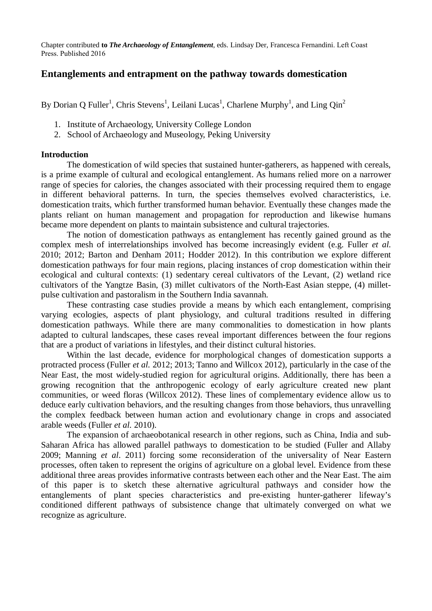Chapter contributed **to** *The Archaeology of Entanglement,* eds. Lindsay Der, Francesca Fernandini. Left Coast Press. Published 2016

# **Entanglements and entrapment on the pathway towards domestication**

By Dorian Q Fuller<sup>1</sup>, Chris Stevens<sup>1</sup>, Leilani Lucas<sup>1</sup>, Charlene Murphy<sup>1</sup>, and Ling Qin<sup>2</sup>

- 1. Institute of Archaeology, University College London
- 2. School of Archaeology and Museology, Peking University

## **Introduction**

The domestication of wild species that sustained hunter-gatherers, as happened with cereals, is a prime example of cultural and ecological entanglement. As humans relied more on a narrower range of species for calories, the changes associated with their processing required them to engage in different behavioral patterns. In turn, the species themselves evolved characteristics, i.e. domestication traits, which further transformed human behavior. Eventually these changes made the plants reliant on human management and propagation for reproduction and likewise humans became more dependent on plants to maintain subsistence and cultural trajectories.

The notion of domestication pathways as entanglement has recently gained ground as the complex mesh of interrelationships involved has become increasingly evident (e.g. Fuller *et al.* 2010; 2012; Barton and Denham 2011; Hodder 2012). In this contribution we explore different domestication pathways for four main regions, placing instances of crop domestication within their ecological and cultural contexts: (1) sedentary cereal cultivators of the Levant, (2) wetland rice cultivators of the Yangtze Basin, (3) millet cultivators of the North-East Asian steppe, (4) milletpulse cultivation and pastoralism in the Southern India savannah.

These contrasting case studies provide a means by which each entanglement, comprising varying ecologies, aspects of plant physiology, and cultural traditions resulted in differing domestication pathways. While there are many commonalities to domestication in how plants adapted to cultural landscapes, these cases reveal important differences between the four regions that are a product of variations in lifestyles, and their distinct cultural histories.

Within the last decade, evidence for morphological changes of domestication supports a protracted process (Fuller *et al.* 2012; 2013; Tanno and Willcox 2012), particularly in the case of the Near East, the most widely-studied region for agricultural origins. Additionally, there has been a growing recognition that the anthropogenic ecology of early agriculture created new plant communities, or weed floras (Willcox 2012). These lines of complementary evidence allow us to deduce early cultivation behaviors, and the resulting changes from those behaviors, thus unravelling the complex feedback between human action and evolutionary change in crops and associated arable weeds (Fuller *et al.* 2010).

The expansion of archaeobotanical research in other regions, such as China, India and sub-Saharan Africa has allowed parallel pathways to domestication to be studied (Fuller and Allaby 2009; Manning *et al*. 2011) forcing some reconsideration of the universality of Near Eastern processes, often taken to represent the origins of agriculture on a global level. Evidence from these additional three areas provides informative contrasts between each other and the Near East. The aim of this paper is to sketch these alternative agricultural pathways and consider how the entanglements of plant species characteristics and pre-existing hunter-gatherer lifeway's conditioned different pathways of subsistence change that ultimately converged on what we recognize as agriculture.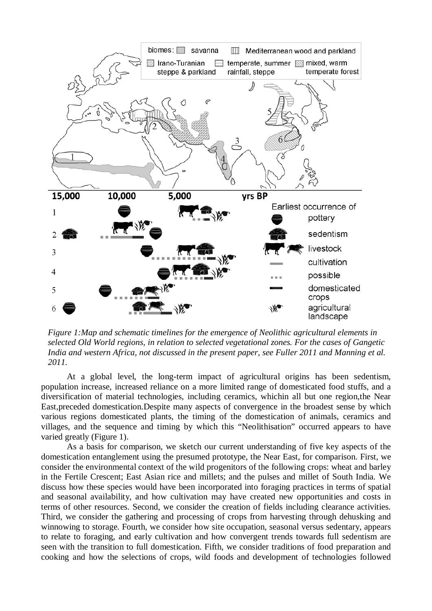

*Figure 1:Map and schematic timelines for the emergence of Neolithic agricultural elements in selected Old World regions, in relation to selected vegetational zones. For the cases of Gangetic India and western Africa, not discussed in the present paper, see Fuller 2011 and Manning et al. 2011.*

At a global level, the long-term impact of agricultural origins has been sedentism, population increase, increased reliance on a more limited range of domesticated food stuffs, and a diversification of material technologies, including ceramics, whichin all but one region,the Near East,preceded domestication.Despite many aspects of convergence in the broadest sense by which various regions domesticated plants, the timing of the domestication of animals, ceramics and villages, and the sequence and timing by which this "Neolithisation" occurred appears to have varied greatly (Figure 1).

As a basis for comparison, we sketch our current understanding of five key aspects of the domestication entanglement using the presumed prototype, the Near East, for comparison. First, we consider the environmental context of the wild progenitors of the following crops: wheat and barley in the Fertile Crescent; East Asian rice and millets; and the pulses and millet of South India. We discuss how these species would have been incorporated into foraging practices in terms of spatial and seasonal availability, and how cultivation may have created new opportunities and costs in terms of other resources. Second, we consider the creation of fields including clearance activities. Third, we consider the gathering and processing of crops from harvesting through dehusking and winnowing to storage. Fourth, we consider how site occupation, seasonal versus sedentary, appears to relate to foraging, and early cultivation and how convergent trends towards full sedentism are seen with the transition to full domestication. Fifth, we consider traditions of food preparation and cooking and how the selections of crops, wild foods and development of technologies followed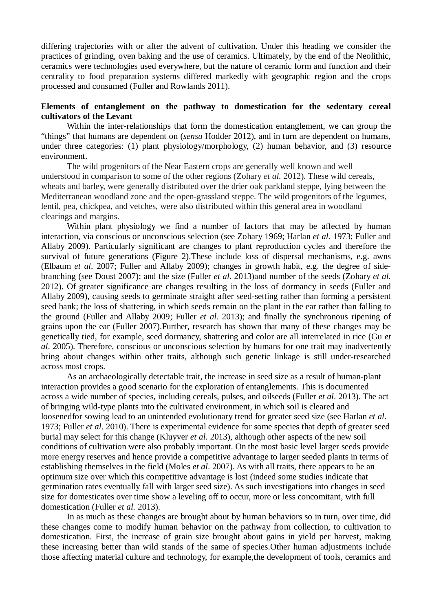differing trajectories with or after the advent of cultivation. Under this heading we consider the practices of grinding, oven baking and the use of ceramics. Ultimately, by the end of the Neolithic, ceramics were technologies used everywhere, but the nature of ceramic form and function and their centrality to food preparation systems differed markedly with geographic region and the crops processed and consumed (Fuller and Rowlands 2011).

## **Elements of entanglement on the pathway to domestication for the sedentary cereal cultivators of the Levant**

Within the inter-relationships that form the domestication entanglement, we can group the "things" that humans are dependent on (*sensu* Hodder 2012), and in turn are dependent on humans, under three categories: (1) plant physiology/morphology, (2) human behavior, and (3) resource environment.

The wild progenitors of the Near Eastern crops are generally well known and well understood in comparison to some of the other regions (Zohary *et al.* 2012). These wild cereals, wheats and barley, were generally distributed over the drier oak parkland steppe, lying between the Mediterranean woodland zone and the open-grassland steppe. The wild progenitors of the legumes, lentil, pea, chickpea, and vetches, were also distributed within this general area in woodland clearings and margins.

Within plant physiology we find a number of factors that may be affected by human interaction, via conscious or unconscious selection (see Zohary 1969; Harlan *et al.* 1973; Fuller and Allaby 2009). Particularly significant are changes to plant reproduction cycles and therefore the survival of future generations (Figure 2).These include loss of dispersal mechanisms, e.g. awns (Elbaum *et al*. 2007; Fuller and Allaby 2009); changes in growth habit, e.g. the degree of sidebranching (see Doust 2007); and the size (Fuller *et al*. 2013)and number of the seeds (Zohary *et al.* 2012). Of greater significance are changes resulting in the loss of dormancy in seeds (Fuller and Allaby 2009), causing seeds to germinate straight after seed-setting rather than forming a persistent seed bank; the loss of shattering, in which seeds remain on the plant in the ear rather than falling to the ground (Fuller and Allaby 2009; Fuller *et al.* 2013); and finally the synchronous ripening of grains upon the ear (Fuller 2007).Further, research has shown that many of these changes may be genetically tied, for example, seed dormancy, shattering and color are all interrelated in rice (Gu *et al*. 2005). Therefore, conscious or unconscious selection by humans for one trait may inadvertently bring about changes within other traits, although such genetic linkage is still under-researched across most crops.

As an archaeologically detectable trait, the increase in seed size as a result of human-plant interaction provides a good scenario for the exploration of entanglements. This is documented across a wide number of species, including cereals, pulses, and oilseeds (Fuller *et al*. 2013). The act of bringing wild-type plants into the cultivated environment, in which soil is cleared and loosenedfor sowing lead to an unintended evolutionary trend for greater seed size (see Harlan *et al*. 1973; Fuller *et al*. 2010). There is experimental evidence for some species that depth of greater seed burial may select for this change (Kluyver *et al.* 2013), although other aspects of the new soil conditions of cultivation were also probably important. On the most basic level larger seeds provide more energy reserves and hence provide a competitive advantage to larger seeded plants in terms of establishing themselves in the field (Moles *et al*. 2007). As with all traits, there appears to be an optimum size over which this competitive advantage is lost (indeed some studies indicate that germination rates eventually fall with larger seed size). As such investigations into changes in seed size for domesticates over time show a leveling off to occur, more or less concomitant, with full domestication (Fuller *et al.* 2013).

In as much as these changes are brought about by human behaviors so in turn, over time, did these changes come to modify human behavior on the pathway from collection, to cultivation to domestication. First, the increase of grain size brought about gains in yield per harvest, making these increasing better than wild stands of the same of species.Other human adjustments include those affecting material culture and technology, for example,the development of tools, ceramics and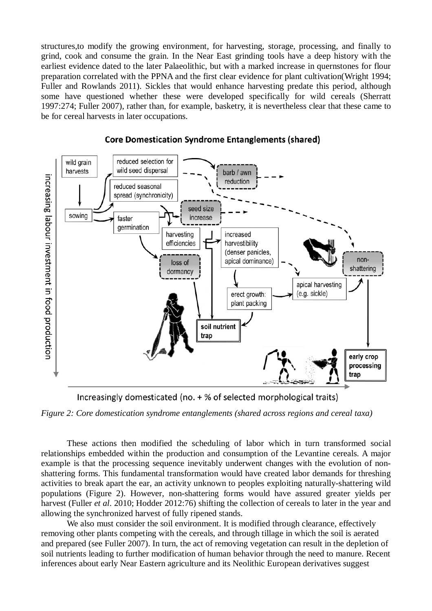structures,to modify the growing environment, for harvesting, storage, processing, and finally to grind, cook and consume the grain. In the Near East grinding tools have a deep history with the earliest evidence dated to the later Palaeolithic, but with a marked increase in quernstones for flour preparation correlated with the PPNA and the first clear evidence for plant cultivation(Wright 1994; Fuller and Rowlands 2011). Sickles that would enhance harvesting predate this period, although some have questioned whether these were developed specifically for wild cereals (Sherratt 1997:274; Fuller 2007), rather than, for example, basketry, it is nevertheless clear that these came to be for cereal harvests in later occupations.



# **Core Domestication Syndrome Entanglements (shared)**

Increasingly domesticated (no. + % of selected morphological traits)

*Figure 2: Core domestication syndrome entanglements (shared across regions and cereal taxa)*

These actions then modified the scheduling of labor which in turn transformed social relationships embedded within the production and consumption of the Levantine cereals. A major example is that the processing sequence inevitably underwent changes with the evolution of nonshattering forms. This fundamental transformation would have created labor demands for threshing activities to break apart the ear, an activity unknown to peoples exploiting naturally-shattering wild populations (Figure 2). However, non-shattering forms would have assured greater yields per harvest (Fuller *et al*. 2010; Hodder 2012:76) shifting the collection of cereals to later in the year and allowing the synchronized harvest of fully ripened stands.

We also must consider the soil environment. It is modified through clearance, effectively removing other plants competing with the cereals, and through tillage in which the soil is aerated and prepared (see Fuller 2007). In turn, the act of removing vegetation can result in the depletion of soil nutrients leading to further modification of human behavior through the need to manure. Recent inferences about early Near Eastern agriculture and its Neolithic European derivatives suggest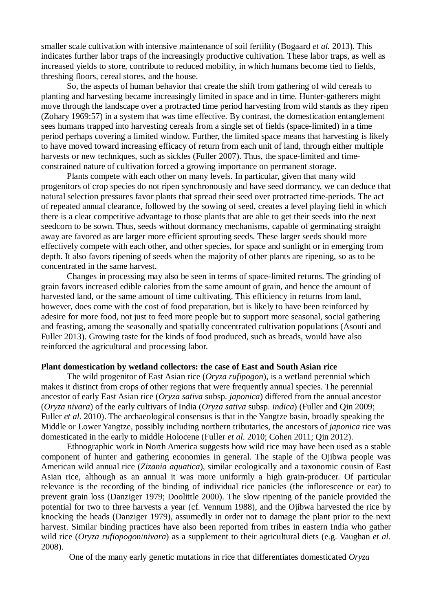smaller scale cultivation with intensive maintenance of soil fertility (Bogaard *et al.* 2013). This indicates further labor traps of the increasingly productive cultivation. These labor traps, as well as increased yields to store, contribute to reduced mobility, in which humans become tied to fields, threshing floors, cereal stores, and the house.

So, the aspects of human behavior that create the shift from gathering of wild cereals to planting and harvesting became increasingly limited in space and in time. Hunter-gatherers might move through the landscape over a protracted time period harvesting from wild stands as they ripen (Zohary 1969:57) in a system that was time effective. By contrast, the domestication entanglement sees humans trapped into harvesting cereals from a single set of fields (space-limited) in a time period perhaps covering a limited window. Further, the limited space means that harvesting is likely to have moved toward increasing efficacy of return from each unit of land, through either multiple harvests or new techniques, such as sickles (Fuller 2007). Thus, the space-limited and timeconstrained nature of cultivation forced a growing importance on permanent storage.

Plants compete with each other on many levels. In particular, given that many wild progenitors of crop species do not ripen synchronously and have seed dormancy, we can deduce that natural selection pressures favor plants that spread their seed over protracted time-periods. The act of repeated annual clearance, followed by the sowing of seed, creates a level playing field in which there is a clear competitive advantage to those plants that are able to get their seeds into the next seedcorn to be sown. Thus, seeds without dormancy mechanisms, capable of germinating straight away are favored as are larger more efficient sprouting seeds. These larger seeds should more effectively compete with each other, and other species, for space and sunlight or in emerging from depth. It also favors ripening of seeds when the majority of other plants are ripening, so as to be concentrated in the same harvest.

Changes in processing may also be seen in terms of space-limited returns. The grinding of grain favors increased edible calories from the same amount of grain, and hence the amount of harvested land, or the same amount of time cultivating. This efficiency in returns from land, however, does come with the cost of food preparation, but is likely to have been reinforced by adesire for more food, not just to feed more people but to support more seasonal, social gathering and feasting, among the seasonally and spatially concentrated cultivation populations (Asouti and Fuller 2013). Growing taste for the kinds of food produced, such as breads, would have also reinforced the agricultural and processing labor.

#### **Plant domestication by wetland collectors: the case of East and South Asian rice**

The wild progenitor of East Asian rice (*Oryza rufipogon*), is a wetland perennial which makes it distinct from crops of other regions that were frequently annual species. The perennial ancestor of early East Asian rice (*Oryza sativa* subsp. *japonica*) differed from the annual ancestor (*Oryza nivara*) of the early cultivars of India (*Oryza sativa* subsp. *indica*) (Fuller and Qin 2009; Fuller *et al.* 2010). The archaeological consensus is that in the Yangtze basin, broadly speaking the Middle or Lower Yangtze, possibly including northern tributaries, the ancestors of *japonica* rice was domesticated in the early to middle Holocene (Fuller *et al*. 2010; Cohen 2011; Qin 2012).

Ethnographic work in North America suggests how wild rice may have been used as a stable component of hunter and gathering economies in general. The staple of the Ojibwa people was American wild annual rice (*Zizania aquatica*)*,* similar ecologically and a taxonomic cousin of East Asian rice, although as an annual it was more uniformly a high grain-producer. Of particular relevance is the recording of the binding of individual rice panicles (the inflorescence or ear) to prevent grain loss (Danziger 1979; Doolittle 2000). The slow ripening of the panicle provided the potential for two to three harvests a year (cf. Vennum 1988), and the Ojibwa harvested the rice by knocking the heads (Danziger 1979), assumedly in order not to damage the plant prior to the next harvest. Similar binding practices have also been reported from tribes in eastern India who gather wild rice (*Oryza rufiopogon*/*nivara*) as a supplement to their agricultural diets (e.g. Vaughan *et al*. 2008).

One of the many early genetic mutations in rice that differentiates domesticated *Oryza*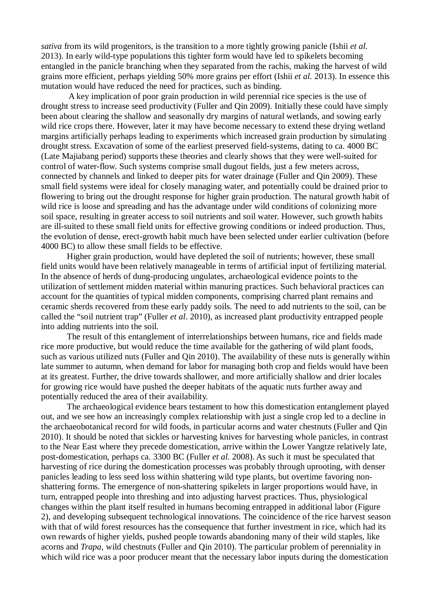*sativa* from its wild progenitors, is the transition to a more tightly growing panicle (Ishii *et al.* 2013). In early wild-type populations this tighter form would have led to spikelets becoming entangled in the panicle branching when they separated from the rachis, making the harvest of wild grains more efficient, perhaps yielding 50% more grains per effort (Ishii *et al.* 2013). In essence this mutation would have reduced the need for practices, such as binding.

A key implication of poor grain production in wild perennial rice species is the use of drought stress to increase seed productivity (Fuller and Qin 2009). Initially these could have simply been about clearing the shallow and seasonally dry margins of natural wetlands, and sowing early wild rice crops there. However, later it may have become necessary to extend these drying wetland margins artificially perhaps leading to experiments which increased grain production by simulating drought stress. Excavation of some of the earliest preserved field-systems, dating to ca. 4000 BC (Late Majiabang period) supports these theories and clearly shows that they were well-suited for control of water-flow. Such systems comprise small dugout fields, just a few meters across, connected by channels and linked to deeper pits for water drainage (Fuller and Qin 2009). These small field systems were ideal for closely managing water, and potentially could be drained prior to flowering to bring out the drought response for higher grain production. The natural growth habit of wild rice is loose and spreading and has the advantage under wild conditions of colonizing more soil space, resulting in greater access to soil nutrients and soil water. However, such growth habits are ill-suited to these small field units for effective growing conditions or indeed production. Thus, the evolution of dense, erect-growth habit much have been selected under earlier cultivation (before 4000 BC) to allow these small fields to be effective.

Higher grain production, would have depleted the soil of nutrients; however, these small field units would have been relatively manageable in terms of artificial input of fertilizing material. In the absence of herds of dung-producing ungulates, archaeological evidence points to the utilization of settlement midden material within manuring practices. Such behavioral practices can account for the quantities of typical midden components, comprising charred plant remains and ceramic sherds recovered from these early paddy soils. The need to add nutrients to the soil, can be called the "soil nutrient trap" (Fuller *et al*. 2010), as increased plant productivity entrapped people into adding nutrients into the soil.

The result of this entanglement of interrelationships between humans, rice and fields made rice more productive, but would reduce the time available for the gathering of wild plant foods, such as various utilized nuts (Fuller and Qin 2010). The availability of these nuts is generally within late summer to autumn, when demand for labor for managing both crop and fields would have been at its greatest. Further, the drive towards shallower, and more artificially shallow and drier locales for growing rice would have pushed the deeper habitats of the aquatic nuts further away and potentially reduced the area of their availability.

The archaeological evidence bears testament to how this domestication entanglement played out, and we see how an increasingly complex relationship with just a single crop led to a decline in the archaeobotanical record for wild foods, in particular acorns and water chestnuts (Fuller and Qin 2010). It should be noted that sickles or harvesting knives for harvesting whole panicles, in contrast to the Near East where they precede domestication, arrive within the Lower Yangtze relatively late, post-domestication, perhaps ca. 3300 BC (Fuller *et al.* 2008). As such it must be speculated that harvesting of rice during the domestication processes was probably through uprooting, with denser panicles leading to less seed loss within shattering wild type plants, but overtime favoring nonshattering forms. The emergence of non-shattering spikelets in larger proportions would have, in turn, entrapped people into threshing and into adjusting harvest practices. Thus, physiological changes within the plant itself resulted in humans becoming entrapped in additional labor (Figure 2), and developing subsequent technological innovations. The coincidence of the rice harvest season with that of wild forest resources has the consequence that further investment in rice, which had its own rewards of higher yields, pushed people towards abandoning many of their wild staples, like acorns and *Trapa,* wild chestnuts (Fuller and Qin 2010). The particular problem of perenniality in which wild rice was a poor producer meant that the necessary labor inputs during the domestication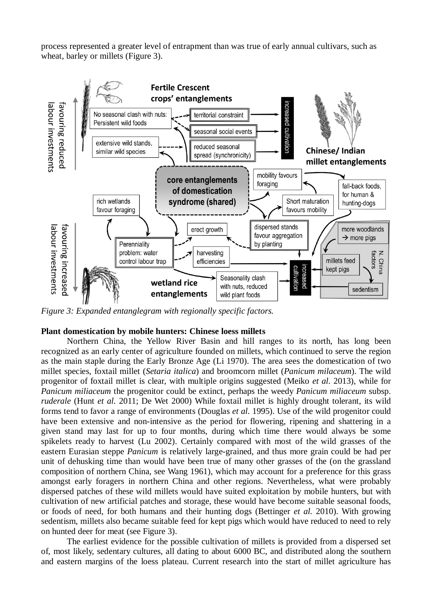process represented a greater level of entrapment than was true of early annual cultivars, such as wheat, barley or millets (Figure 3).



*Figure 3: Expanded entanglegram with regionally specific factors.*

## **Plant domestication by mobile hunters: Chinese loess millets**

Northern China, the Yellow River Basin and hill ranges to its north, has long been recognized as an early center of agriculture founded on millets, which continued to serve the region as the main staple during the Early Bronze Age (Li 1970). The area sees the domestication of two millet species, foxtail millet (*Setaria italica*) and broomcorn millet (*Panicum milaceum*). The wild progenitor of foxtail millet is clear, with multiple origins suggested (Meiko *et al*. 2013), while for *Panicum miliaceum* the progenitor could be extinct, perhaps the weedy *Panicum miliaceum* subsp. *ruderale* (Hunt *et al.* 2011; De Wet 2000) While foxtail millet is highly drought tolerant, its wild forms tend to favor a range of environments (Douglas *et al*. 1995). Use of the wild progenitor could have been extensive and non-intensive as the period for flowering, ripening and shattering in a given stand may last for up to four months, during which time there would always be some spikelets ready to harvest (Lu 2002). Certainly compared with most of the wild grasses of the eastern Eurasian steppe *Panicum* is relatively large-grained, and thus more grain could be had per unit of dehusking time than would have been true of many other grasses of the (on the grassland composition of northern China, see Wang 1961), which may account for a preference for this grass amongst early foragers in northern China and other regions. Nevertheless, what were probably dispersed patches of these wild millets would have suited exploitation by mobile hunters, but with cultivation of new artificial patches and storage, these would have become suitable seasonal foods, or foods of need, for both humans and their hunting dogs (Bettinger *et al.* 2010). With growing sedentism, millets also became suitable feed for kept pigs which would have reduced to need to rely on hunted deer for meat (see Figure 3).

The earliest evidence for the possible cultivation of millets is provided from a dispersed set of, most likely, sedentary cultures, all dating to about 6000 BC, and distributed along the southern and eastern margins of the loess plateau. Current research into the start of millet agriculture has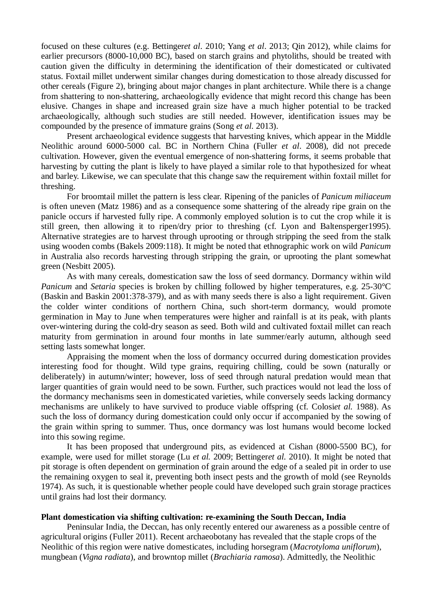focused on these cultures (e.g. Bettinger*et al*. 2010; Yang *et al*. 2013; Qin 2012), while claims for earlier precursors (8000-10,000 BC), based on starch grains and phytoliths, should be treated with caution given the difficulty in determining the identification of their domesticated or cultivated status. Foxtail millet underwent similar changes during domestication to those already discussed for other cereals (Figure 2), bringing about major changes in plant architecture. While there is a change from shattering to non-shattering, archaeologically evidence that might record this change has been elusive. Changes in shape and increased grain size have a much higher potential to be tracked archaeologically, although such studies are still needed. However, identification issues may be compounded by the presence of immature grains (Song *et al*. 2013).

Present archaeological evidence suggests that harvesting knives, which appear in the Middle Neolithic around 6000-5000 cal. BC in Northern China (Fuller *et al*. 2008), did not precede cultivation. However, given the eventual emergence of non-shattering forms, it seems probable that harvesting by cutting the plant is likely to have played a similar role to that hypothesized for wheat and barley. Likewise, we can speculate that this change saw the requirement within foxtail millet for threshing.

For broomtail millet the pattern is less clear. Ripening of the panicles of *Panicum miliaceum* is often uneven (Matz 1986) and as a consequence some shattering of the already ripe grain on the panicle occurs if harvested fully ripe. A commonly employed solution is to cut the crop while it is still green, then allowing it to ripen/dry prior to threshing (cf. Lyon and Baltensperger1995). Alternative strategies are to harvest through uprooting or through stripping the seed from the stalk using wooden combs (Bakels 2009:118). It might be noted that ethnographic work on wild *Panicum* in Australia also records harvesting through stripping the grain, or uprooting the plant somewhat green (Nesbitt 2005).

As with many cereals, domestication saw the loss of seed dormancy. Dormancy within wild *Panicum* and *Setaria* species is broken by chilling followed by higher temperatures, e.g. 25-30°C (Baskin and Baskin 2001:378-379), and as with many seeds there is also a light requirement. Given the colder winter conditions of northern China, such short-term dormancy, would promote germination in May to June when temperatures were higher and rainfall is at its peak, with plants over-wintering during the cold-dry season as seed. Both wild and cultivated foxtail millet can reach maturity from germination in around four months in late summer/early autumn, although seed setting lasts somewhat longer.

Appraising the moment when the loss of dormancy occurred during domestication provides interesting food for thought. Wild type grains, requiring chilling, could be sown (naturally or deliberately) in autumn/winter; however, loss of seed through natural predation would mean that larger quantities of grain would need to be sown. Further, such practices would not lead the loss of the dormancy mechanisms seen in domesticated varieties, while conversely seeds lacking dormancy mechanisms are unlikely to have survived to produce viable offspring (cf. Colosi*et al.* 1988). As such the loss of dormancy during domestication could only occur if accompanied by the sowing of the grain within spring to summer. Thus, once dormancy was lost humans would become locked into this sowing regime.

It has been proposed that underground pits, as evidenced at Cishan (8000-5500 BC), for example, were used for millet storage (Lu *et al.* 2009; Bettinger*et al.* 2010). It might be noted that pit storage is often dependent on germination of grain around the edge of a sealed pit in order to use the remaining oxygen to seal it, preventing both insect pests and the growth of mold (see Reynolds 1974). As such, it is questionable whether people could have developed such grain storage practices until grains had lost their dormancy.

## **Plant domestication via shifting cultivation: re-examining the South Deccan, India**

Peninsular India, the Deccan, has only recently entered our awareness as a possible centre of agricultural origins (Fuller 2011). Recent archaeobotany has revealed that the staple crops of the Neolithic of this region were native domesticates, including horsegram (*Macrotyloma uniflorum*), mungbean (*Vigna radiata*), and browntop millet (*Brachiaria ramosa*). Admittedly, the Neolithic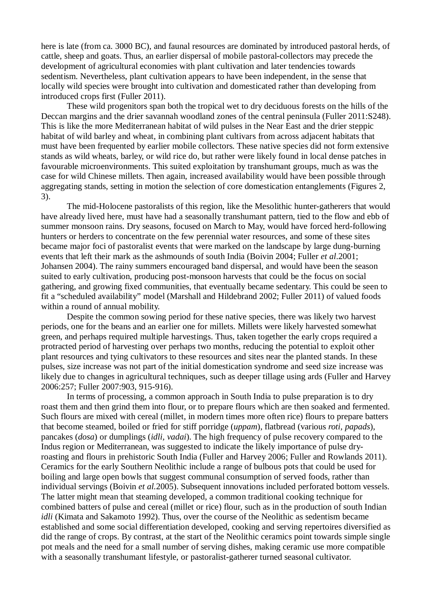here is late (from ca. 3000 BC), and faunal resources are dominated by introduced pastoral herds, of cattle, sheep and goats. Thus, an earlier dispersal of mobile pastoral-collectors may precede the development of agricultural economies with plant cultivation and later tendencies towards sedentism. Nevertheless, plant cultivation appears to have been independent, in the sense that locally wild species were brought into cultivation and domesticated rather than developing from introduced crops first (Fuller 2011).

These wild progenitors span both the tropical wet to dry deciduous forests on the hills of the Deccan margins and the drier savannah woodland zones of the central peninsula (Fuller 2011:S248). This is like the more Mediterranean habitat of wild pulses in the Near East and the drier steppic habitat of wild barley and wheat, in combining plant cultivars from across adjacent habitats that must have been frequented by earlier mobile collectors. These native species did not form extensive stands as wild wheats, barley, or wild rice do, but rather were likely found in local dense patches in favourable microenvironments. This suited exploitation by transhumant groups, much as was the case for wild Chinese millets. Then again, increased availability would have been possible through aggregating stands, setting in motion the selection of core domestication entanglements (Figures 2, 3).

The mid-Holocene pastoralists of this region, like the Mesolithic hunter-gatherers that would have already lived here, must have had a seasonally transhumant pattern, tied to the flow and ebb of summer monsoon rains. Dry seasons, focused on March to May, would have forced herd-following hunters or herders to concentrate on the few perennial water resources, and some of these sites became major foci of pastoralist events that were marked on the landscape by large dung-burning events that left their mark as the ashmounds of south India (Boivin 2004; Fuller *et al*.2001; Johansen 2004). The rainy summers encouraged band dispersal, and would have been the season suited to early cultivation, producing post-monsoon harvests that could be the focus on social gathering, and growing fixed communities, that eventually became sedentary. This could be seen to fit a "scheduled availability" model (Marshall and Hildebrand 2002; Fuller 2011) of valued foods within a round of annual mobility.

Despite the common sowing period for these native species, there was likely two harvest periods, one for the beans and an earlier one for millets. Millets were likely harvested somewhat green, and perhaps required multiple harvestings. Thus, taken together the early crops required a protracted period of harvesting over perhaps two months, reducing the potential to exploit other plant resources and tying cultivators to these resources and sites near the planted stands. In these pulses, size increase was not part of the initial domestication syndrome and seed size increase was likely due to changes in agricultural techniques, such as deeper tillage using ards (Fuller and Harvey 2006:257; Fuller 2007:903, 915-916).

In terms of processing, a common approach in South India to pulse preparation is to dry roast them and then grind them into flour, or to prepare flours which are then soaked and fermented. Such flours are mixed with cereal (millet, in modern times more often rice) flours to prepare batters that become steamed, boiled or fried for stiff porridge (*uppam*), flatbread (various *roti, papads*), pancakes (*dosa*) or dumplings (*idli, vadai*). The high frequency of pulse recovery compared to the Indus region or Mediterranean, was suggested to indicate the likely importance of pulse dryroasting and flours in prehistoric South India (Fuller and Harvey 2006; Fuller and Rowlands 2011). Ceramics for the early Southern Neolithic include a range of bulbous pots that could be used for boiling and large open bowls that suggest communal consumption of served foods, rather than individual servings (Boivin *et al.*2005). Subsequent innovations included perforated bottom vessels. The latter might mean that steaming developed, a common traditional cooking technique for combined batters of pulse and cereal (millet or rice) flour, such as in the production of south Indian *idli* (Kimata and Sakamoto 1992). Thus, over the course of the Neolithic as sedentism became established and some social differentiation developed, cooking and serving repertoires diversified as did the range of crops. By contrast, at the start of the Neolithic ceramics point towards simple single pot meals and the need for a small number of serving dishes, making ceramic use more compatible with a seasonally transhumant lifestyle, or pastoralist-gatherer turned seasonal cultivator.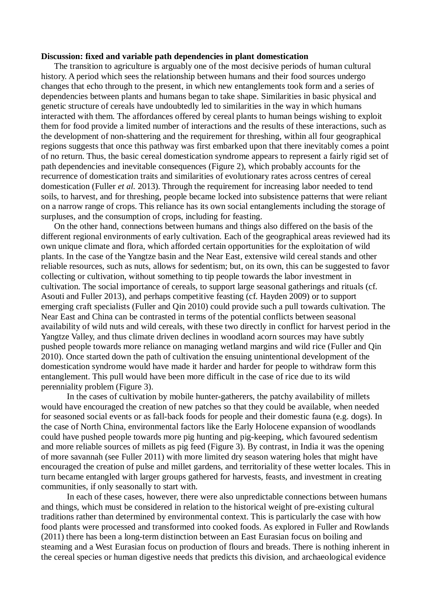#### **Discussion: fixed and variable path dependencies in plant domestication**

The transition to agriculture is arguably one of the most decisive periods of human cultural history. A period which sees the relationship between humans and their food sources undergo changes that echo through to the present, in which new entanglements took form and a series of dependencies between plants and humans began to take shape. Similarities in basic physical and genetic structure of cereals have undoubtedly led to similarities in the way in which humans interacted with them. The affordances offered by cereal plants to human beings wishing to exploit them for food provide a limited number of interactions and the results of these interactions, such as the development of non-shattering and the requirement for threshing, within all four geographical regions suggests that once this pathway was first embarked upon that there inevitably comes a point of no return. Thus, the basic cereal domestication syndrome appears to represent a fairly rigid set of path dependencies and inevitable consequences (Figure 2), which probably accounts for the recurrence of domestication traits and similarities of evolutionary rates across centres of cereal domestication (Fuller *et al.* 2013). Through the requirement for increasing labor needed to tend soils, to harvest, and for threshing, people became locked into subsistence patterns that were reliant on a narrow range of crops. This reliance has its own social entanglements including the storage of surpluses, and the consumption of crops, including for feasting.

On the other hand, connections between humans and things also differed on the basis of the different regional environments of early cultivation. Each of the geographical areas reviewed had its own unique climate and flora, which afforded certain opportunities for the exploitation of wild plants. In the case of the Yangtze basin and the Near East, extensive wild cereal stands and other reliable resources, such as nuts, allows for sedentism; but, on its own, this can be suggested to favor collecting or cultivation, without something to tip people towards the labor investment in cultivation. The social importance of cereals, to support large seasonal gatherings and rituals (cf. Asouti and Fuller 2013), and perhaps competitive feasting (cf. Hayden 2009) or to support emerging craft specialists (Fuller and Qin 2010) could provide such a pull towards cultivation. The Near East and China can be contrasted in terms of the potential conflicts between seasonal availability of wild nuts and wild cereals, with these two directly in conflict for harvest period in the Yangtze Valley, and thus climate driven declines in woodland acorn sources may have subtly pushed people towards more reliance on managing wetland margins and wild rice (Fuller and Qin 2010). Once started down the path of cultivation the ensuing unintentional development of the domestication syndrome would have made it harder and harder for people to withdraw form this entanglement. This pull would have been more difficult in the case of rice due to its wild perenniality problem (Figure 3).

In the cases of cultivation by mobile hunter-gatherers, the patchy availability of millets would have encouraged the creation of new patches so that they could be available, when needed for seasoned social events or as fall-back foods for people and their domestic fauna (e.g. dogs). In the case of North China, environmental factors like the Early Holocene expansion of woodlands could have pushed people towards more pig hunting and pig-keeping, which favoured sedentism and more reliable sources of millets as pig feed (Figure 3). By contrast, in India it was the opening of more savannah (see Fuller 2011) with more limited dry season watering holes that might have encouraged the creation of pulse and millet gardens, and territoriality of these wetter locales. This in turn became entangled with larger groups gathered for harvests, feasts, and investment in creating communities, if only seasonally to start with.

In each of these cases, however, there were also unpredictable connections between humans and things, which must be considered in relation to the historical weight of pre-existing cultural traditions rather than determined by environmental context. This is particularly the case with how food plants were processed and transformed into cooked foods. As explored in Fuller and Rowlands (2011) there has been a long-term distinction between an East Eurasian focus on boiling and steaming and a West Eurasian focus on production of flours and breads. There is nothing inherent in the cereal species or human digestive needs that predicts this division, and archaeological evidence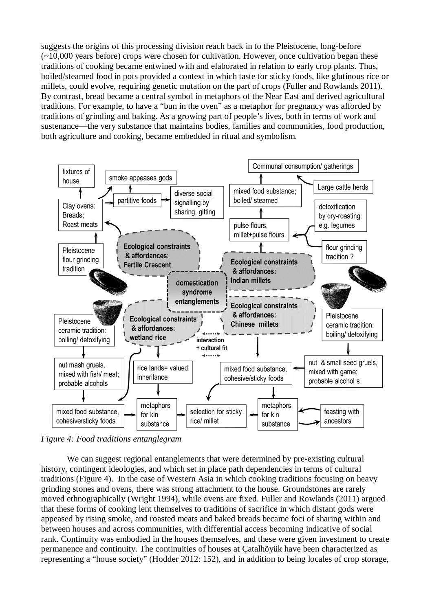suggests the origins of this processing division reach back in to the Pleistocene, long-before (~10,000 years before) crops were chosen for cultivation. However, once cultivation began these traditions of cooking became entwined with and elaborated in relation to early crop plants. Thus, boiled/steamed food in pots provided a context in which taste for sticky foods, like glutinous rice or millets, could evolve, requiring genetic mutation on the part of crops (Fuller and Rowlands 2011). By contrast, bread became a central symbol in metaphors of the Near East and derived agricultural traditions. For example, to have a "bun in the oven" as a metaphor for pregnancy was afforded by traditions of grinding and baking. As a growing part of people's lives, both in terms of work and sustenance—the very substance that maintains bodies, families and communities, food production, both agriculture and cooking, became embedded in ritual and symbolism.



*Figure 4: Food traditions entanglegram*

We can suggest regional entanglements that were determined by pre-existing cultural history, contingent ideologies, and which set in place path dependencies in terms of cultural traditions (Figure 4). In the case of Western Asia in which cooking traditions focusing on heavy grinding stones and ovens, there was strong attachment to the house. Groundstones are rarely moved ethnographically (Wright 1994), while ovens are fixed. Fuller and Rowlands (2011) argued that these forms of cooking lent themselves to traditions of sacrifice in which distant gods were appeased by rising smoke, and roasted meats and baked breads became foci of sharing within and between houses and across communities, with differential access becoming indicative of social rank. Continuity was embodied in the houses themselves, and these were given investment to create permanence and continuity. The continuities of houses at Çatalhöyük have been characterized as representing a "house society" (Hodder 2012: 152), and in addition to being locales of crop storage,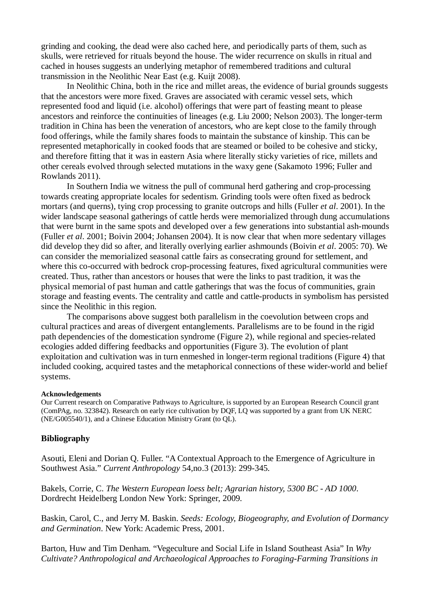grinding and cooking, the dead were also cached here, and periodically parts of them, such as skulls, were retrieved for rituals beyond the house. The wider recurrence on skulls in ritual and cached in houses suggests an underlying metaphor of remembered traditions and cultural transmission in the Neolithic Near East (e.g. Kuijt 2008).

In Neolithic China, both in the rice and millet areas, the evidence of burial grounds suggests that the ancestors were more fixed. Graves are associated with ceramic vessel sets, which represented food and liquid (i.e. alcohol) offerings that were part of feasting meant to please ancestors and reinforce the continuities of lineages (e.g. Liu 2000; Nelson 2003). The longer-term tradition in China has been the veneration of ancestors, who are kept close to the family through food offerings, while the family shares foods to maintain the substance of kinship. This can be represented metaphorically in cooked foods that are steamed or boiled to be cohesive and sticky, and therefore fitting that it was in eastern Asia where literally sticky varieties of rice, millets and other cereals evolved through selected mutations in the waxy gene (Sakamoto 1996; Fuller and Rowlands 2011).

In Southern India we witness the pull of communal herd gathering and crop-processing towards creating appropriate locales for sedentism. Grinding tools were often fixed as bedrock mortars (and querns), tying crop processing to granite outcrops and hills (Fuller *et al*. 2001). In the wider landscape seasonal gatherings of cattle herds were memorialized through dung accumulations that were burnt in the same spots and developed over a few generations into substantial ash-mounds (Fuller *et al*. 2001; Boivin 2004; Johansen 2004). It is now clear that when more sedentary villages did develop they did so after, and literally overlying earlier ashmounds (Boivin *et al*. 2005: 70). We can consider the memorialized seasonal cattle fairs as consecrating ground for settlement, and where this co-occurred with bedrock crop-processing features, fixed agricultural communities were created. Thus, rather than ancestors or houses that were the links to past tradition, it was the physical memorial of past human and cattle gatherings that was the focus of communities, grain storage and feasting events. The centrality and cattle and cattle-products in symbolism has persisted since the Neolithic in this region.

The comparisons above suggest both parallelism in the coevolution between crops and cultural practices and areas of divergent entanglements. Parallelisms are to be found in the rigid path dependencies of the domestication syndrome (Figure 2), while regional and species-related ecologies added differing feedbacks and opportunities (Figure 3). The evolution of plant exploitation and cultivation was in turn enmeshed in longer-term regional traditions (Figure 4) that included cooking, acquired tastes and the metaphorical connections of these wider-world and belief systems.

#### **Acknowledgements**

Our Current research on Comparative Pathways to Agriculture, is supported by an European Research Council grant (ComPAg, no. 323842). Research on early rice cultivation by DQF, LQ was supported by a grant from UK NERC (NE/G005540/1), and a Chinese Education Ministry Grant (to QL).

## **Bibliography**

Asouti, Eleni and Dorian Q. Fuller. "A Contextual Approach to the Emergence of Agriculture in Southwest Asia." *Current Anthropology* 54,no.3 (2013): 299-345.

Bakels, Corrie, C. *The Western European loess belt; Agrarian history, 5300 BC - AD 1000*. Dordrecht Heidelberg London New York: Springer, 2009.

Baskin, Carol, C., and Jerry M. Baskin. *Seeds: Ecology, Biogeography, and Evolution of Dormancy and Germination*. New York: Academic Press, 2001.

Barton, Huw and Tim Denham. "Vegeculture and Social Life in Island Southeast Asia" In *Why Cultivate? Anthropological and Archaeological Approaches to Foraging-Farming Transitions in*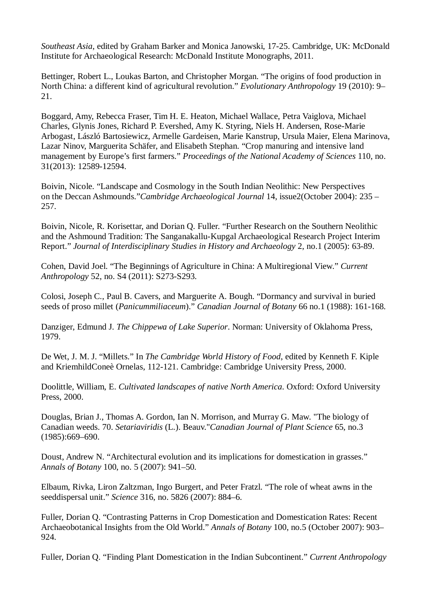*Southeast Asia*, edited by Graham Barker and Monica Janowski, 17-25. Cambridge, UK: McDonald Institute for Archaeological Research: McDonald Institute Monographs, 2011.

Bettinger, Robert L., Loukas Barton, and Christopher Morgan. "The origins of food production in North China: a different kind of agricultural revolution." *Evolutionary Anthropology* 19 (2010): 9– 21.

Boggard, Amy, Rebecca Fraser, Tim H. E. Heaton, Michael Wallace, Petra Vaiglova, Michael Charles, Glynis Jones, Richard P. Evershed, Amy K. Styring, Niels H. Andersen, Rose-Marie Arbogast, László Bartosiewicz, Armelle Gardeisen, Marie Kanstrup, Ursula Maier, Elena Marinova, Lazar Ninov, Marguerita Schäfer, and Elisabeth Stephan. "Crop manuring and intensive land management by Europe's first farmers." *Proceedings of the National Academy of Sciences* 110, no. 31(2013): 12589-12594.

Boivin, Nicole. "Landscape and Cosmology in the South Indian Neolithic: New Perspectives on the Deccan Ashmounds."*Cambridge Archaeological Journal* 14, issue2(October 2004): 235 – 257.

Boivin, Nicole, R. Korisettar, and Dorian Q. Fuller. "Further Research on the Southern Neolithic and the Ashmound Tradition: The Sanganakallu-Kupgal Archaeological Research Project Interim Report." *Journal of Interdisciplinary Studies in History and Archaeology* 2, no.1 (2005): 63-89.

Cohen, David Joel. "The Beginnings of Agriculture in China: A Multiregional View." *Current Anthropology* 52, no. S4 (2011): S273-S293.

Colosi, Joseph C., Paul B. Cavers, and Marguerite A. Bough. "Dormancy and survival in buried seeds of proso millet (*Panicummiliaceum*)." *Canadian Journal of Botany* 66 no.1 (1988): 161-168.

Danziger, Edmund J. *The Chippewa of Lake Superior*. Norman: University of Oklahoma Press, 1979.

De Wet, J. M. J. "Millets." In *The Cambridge World History of Food*, edited by Kenneth F. Kiple and KriemhildConeè Ornelas, 112-121. Cambridge: Cambridge University Press, 2000.

Doolittle, William, E. *Cultivated landscapes of native North America*. Oxford: Oxford University Press, 2000.

Douglas, Brian J., Thomas A. Gordon, Ian N. Morrison, and Murray G. Maw. "The biology of Canadian weeds. 70. *Setariaviridis* (L.). Beauv."*Canadian Journal of Plant Science* 65, no.3 (1985):669–690.

Doust, Andrew N. "Architectural evolution and its implications for domestication in grasses." *Annals of Botany* 100, no. 5 (2007): 941–50.

Elbaum, Rivka, Liron Zaltzman, Ingo Burgert, and Peter Fratzl. "The role of wheat awns in the seeddispersal unit." *Science* 316, no. 5826 (2007): 884–6.

Fuller, Dorian Q. "Contrasting Patterns in Crop Domestication and Domestication Rates: Recent Archaeobotanical Insights from the Old World." *Annals of Botany* 100, no.5 (October 2007): 903– 924.

Fuller, Dorian Q. "Finding Plant Domestication in the Indian Subcontinent." *Current Anthropology*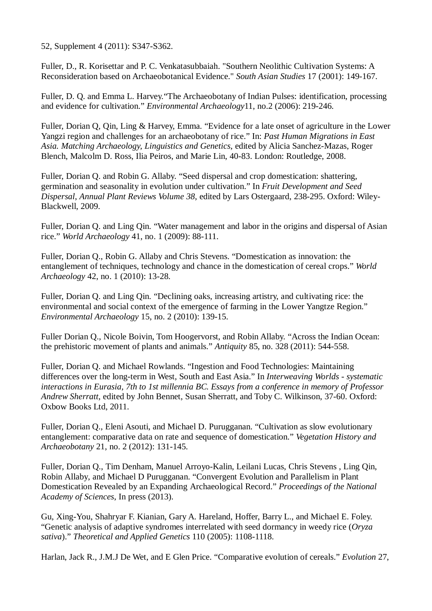52, Supplement 4 (2011): S347-S362.

Fuller, D., R. Korisettar and P. C. Venkatasubbaiah. "Southern Neolithic Cultivation Systems: A Reconsideration based on Archaeobotanical Evidence." *South Asian Studies* 17 (2001): 149-167.

Fuller, D. Q. and Emma L. Harvey."The Archaeobotany of Indian Pulses: identification, processing and evidence for cultivation." *Environmental Archaeology*11, no.2 (2006): 219-246.

Fuller, Dorian Q, Qin, Ling & Harvey, Emma. "Evidence for a late onset of agriculture in the Lower Yangzi region and challenges for an archaeobotany of rice." In: *Past Human Migrations in East Asia. Matching Archaeology, Linguistics and Genetics*, edited by Alicia Sanchez-Mazas, Roger Blench, Malcolm D. Ross, Ilia Peiros, and Marie Lin, 40-83. London: Routledge, 2008.

Fuller, Dorian Q. and Robin G. Allaby. "Seed dispersal and crop domestication: shattering, germination and seasonality in evolution under cultivation." In *Fruit Development and Seed Dispersal*, *Annual Plant Reviews Volume 38*, edited by Lars Ostergaard, 238-295. Oxford: Wiley-Blackwell, 2009.

Fuller, Dorian Q. and Ling Qin. "Water management and labor in the origins and dispersal of Asian rice." *World Archaeology* 41, no. 1 (2009): 88-111.

Fuller, Dorian Q., Robin G. Allaby and Chris Stevens. "Domestication as innovation: the entanglement of techniques, technology and chance in the domestication of cereal crops." *World Archaeology* 42, no. 1 (2010): 13-28.

Fuller, Dorian Q. and Ling Qin. "Declining oaks, increasing artistry, and cultivating rice: the environmental and social context of the emergence of farming in the Lower Yangtze Region." *Environmental Archaeology* 15, no. 2 (2010): 139-15.

Fuller Dorian Q., Nicole Boivin, Tom Hoogervorst, and Robin Allaby. "Across the Indian Ocean: the prehistoric movement of plants and animals." *Antiquity* 85, no. 328 (2011): 544-558.

Fuller, Dorian Q. and Michael Rowlands. "Ingestion and Food Technologies: Maintaining differences over the long-term in West, South and East Asia." In *Interweaving Worlds - systematic interactions in Eurasia, 7th to 1st millennia BC. Essays from a conference in memory of Professor Andrew Sherratt*, edited by John Bennet, Susan Sherratt, and Toby C. Wilkinson, 37-60. Oxford: Oxbow Books Ltd, 2011.

Fuller, Dorian Q., Eleni Asouti, and Michael D. Purugganan. "Cultivation as slow evolutionary entanglement: comparative data on rate and sequence of domestication." *Vegetation History and Archaeobotany* 21, no. 2 (2012): 131-145.

Fuller, Dorian Q., Tim Denham, Manuel Arroyo-Kalin, Leilani Lucas, Chris Stevens , Ling Qin, Robin Allaby, and Michael D Purugganan. "Convergent Evolution and Parallelism in Plant Domestication Revealed by an Expanding Archaeological Record." *Proceedings of the National Academy of Sciences*, In press (2013).

Gu, Xing-You, Shahryar F. Kianian, Gary A. Hareland, Hoffer, Barry L., and Michael E. Foley. "Genetic analysis of adaptive syndromes interrelated with seed dormancy in weedy rice (*Oryza sativa*)." *Theoretical and Applied Genetics* 110 (2005): 1108-1118.

Harlan, Jack R., J.M.J De Wet, and E Glen Price. "Comparative evolution of cereals." *Evolution* 27,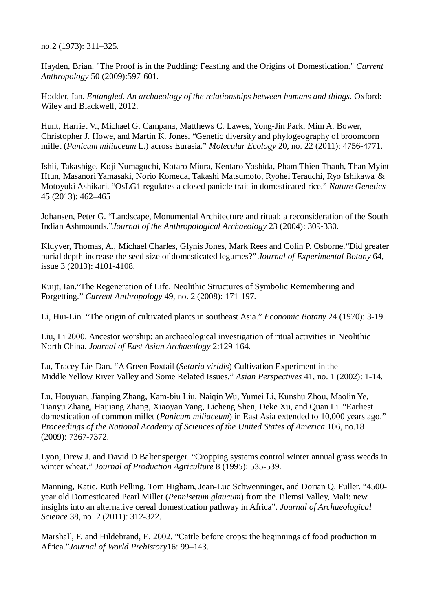no.2 (1973): 311–325.

Hayden, Brian. "The Proof is in the Pudding: Feasting and the Origins of Domestication." *Current Anthropology* 50 (2009):597-601.

Hodder, Ian. *Entangled. An archaeology of the relationships between humans and things*. Oxford: Wiley and Blackwell, 2012.

Hunt, Harriet V., Michael G. Campana, Matthews C. Lawes, Yong-Jin Park, Mim A. Bower, Christopher J. Howe, and Martin K. Jones. "Genetic diversity and phylogeography of broomcorn millet (*Panicum miliaceum* L.) across Eurasia." *Molecular Ecology* 20, no. 22 (2011): 4756-4771.

Ishii, Takashige, Koji Numaguchi, Kotaro Miura, Kentaro Yoshida, Pham Thien Thanh, Than Myint Htun, Masanori Yamasaki, Norio Komeda, Takashi Matsumoto, Ryohei Terauchi, Ryo Ishikawa & Motoyuki Ashikari. "OsLG1 regulates a closed panicle trait in domesticated rice." *Nature Genetics* 45 (2013): 462–465

Johansen, Peter G. "Landscape, Monumental Architecture and ritual: a reconsideration of the South Indian Ashmounds."*Journal of the Anthropological Archaeology* 23 (2004): 309-330.

Kluyver, Thomas, A., Michael Charles, Glynis Jones, Mark Rees and Colin P. Osborne."Did greater burial depth increase the seed size of domesticated legumes?" *Journal of Experimental Botany* 64, issue 3 (2013): 4101-4108.

Kuijt, Ian."The Regeneration of Life. Neolithic Structures of Symbolic Remembering and Forgetting." *Current Anthropology* 49, no. 2 (2008): 171-197.

Li, Hui-Lin. "The origin of cultivated plants in southeast Asia." *Economic Botany* 24 (1970): 3-19.

Liu, Li 2000. Ancestor worship: an archaeological investigation of ritual activities in Neolithic North China. *Journal of East Asian Archaeology* 2:129-164.

Lu, Tracey Lie-Dan. "A Green Foxtail (*Setaria viridis*) Cultivation Experiment in the Middle Yellow River Valley and Some Related Issues." *Asian Perspectives* 41, no. 1 (2002): 1-14.

Lu, Houyuan, Jianping Zhang, Kam-biu Liu, Naiqin Wu, Yumei Li, Kunshu Zhou, Maolin Ye, Tianyu Zhang, Haijiang Zhang, Xiaoyan Yang, Licheng Shen, Deke Xu, and Quan Li. "Earliest domestication of common millet (*Panicum miliaceum*) in East Asia extended to 10,000 years ago." *Proceedings of the National Academy of Sciences of the United States of America* 106, no.18 (2009): 7367-7372.

Lyon, Drew J. and David D Baltensperger. "Cropping systems control winter annual grass weeds in winter wheat." *Journal of Production Agriculture* 8 (1995): 535-539.

Manning, Katie, Ruth Pelling, Tom Higham, Jean-Luc Schwenninger, and Dorian Q. Fuller. "4500 year old Domesticated Pearl Millet (*Pennisetum glaucum*) from the Tilemsi Valley, Mali: new insights into an alternative cereal domestication pathway in Africa". *Journal of Archaeological Science* 38, no. 2 (2011): 312-322.

Marshall, F. and Hildebrand, E. 2002. "Cattle before crops: the beginnings of food production in Africa."*Journal of World Prehistory*16: 99–143.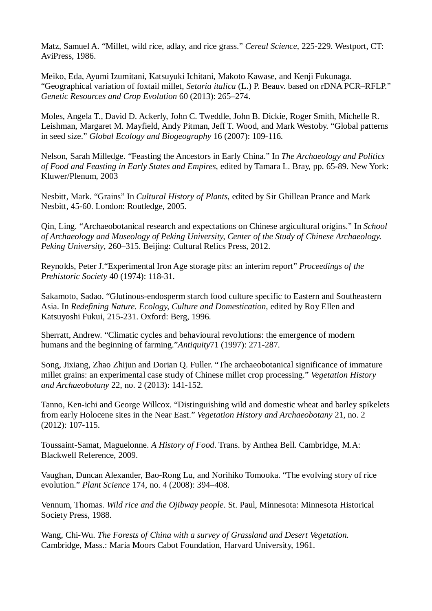Matz, Samuel A. "Millet, wild rice, adlay, and rice grass." *Cereal Science*, 225-229. Westport, CT: AviPress, 1986.

Meiko, Eda, Ayumi Izumitani, Katsuyuki Ichitani, Makoto Kawase, and Kenji Fukunaga. "Geographical variation of foxtail millet, *Setaria italica* (L.) P. Beauv. based on rDNA PCR–RFLP." *Genetic Resources and Crop Evolution* 60 (2013): 265–274.

Moles, Angela T., David D. Ackerly, John C. Tweddle, John B. Dickie, Roger Smith, Michelle R. Leishman, Margaret M. Mayfield, Andy Pitman, Jeff T. Wood, and Mark Westoby. "Global patterns in seed size." *Global Ecology and Biogeography* 16 (2007): 109-116.

Nelson, Sarah Milledge. "Feasting the Ancestors in Early China." In *The Archaeology and Politics of Food and Feasting in Early States and Empires*, edited by Tamara L. Bray, pp. 65-89. New York: Kluwer/Plenum, 2003

Nesbitt, Mark. "Grains" In *Cultural History of Plants*, edited by Sir Ghillean Prance and Mark Nesbitt, 45-60. London: Routledge, 2005.

Qin, Ling. "Archaeobotanical research and expectations on Chinese argicultural origins." In *School of Archaeology and Museology of Peking University, Center of the Study of Chinese Archaeology. Peking University*, 260–315. Beijing: Cultural Relics Press, 2012.

Reynolds, Peter J."Experimental Iron Age storage pits: an interim report" *Proceedings of the Prehistoric Society* 40 (1974): 118-31.

Sakamoto, Sadao. "Glutinous-endosperm starch food culture specific to Eastern and Southeastern Asia. In *Redefining Nature. Ecology, Culture and Domestication*, edited by Roy Ellen and Katsuyoshi Fukui, 215-231. Oxford: Berg, 1996.

Sherratt, Andrew. "Climatic cycles and behavioural revolutions: the emergence of modern humans and the beginning of farming."*Antiquity*71 (1997): 271-287.

Song, Jixiang, Zhao Zhijun and Dorian Q. Fuller. "The archaeobotanical significance of immature millet grains: an experimental case study of Chinese millet crop processing." *Vegetation History and Archaeobotany* 22, no. 2 (2013): 141-152.

Tanno, Ken-ichi and George Willcox. "Distinguishing wild and domestic wheat and barley spikelets from early Holocene sites in the Near East." *Vegetation History and Archaeobotany* 21, no. 2 (2012): 107-115.

Toussaint-Samat, Maguelonne. *A History of Food*. Trans. by Anthea Bell. Cambridge, M.A: Blackwell Reference, 2009.

Vaughan, Duncan Alexander, Bao-Rong Lu, and Norihiko Tomooka. "The evolving story of rice evolution." *Plant Science* 174, no. 4 (2008): 394–408.

Vennum, Thomas. *Wild rice and the Ojibway people*. St. Paul, Minnesota: Minnesota Historical Society Press, 1988.

Wang, Chi-Wu. *The Forests of China with a survey of Grassland and Desert Vegetation.* Cambridge, Mass.: Maria Moors Cabot Foundation, Harvard University, 1961.